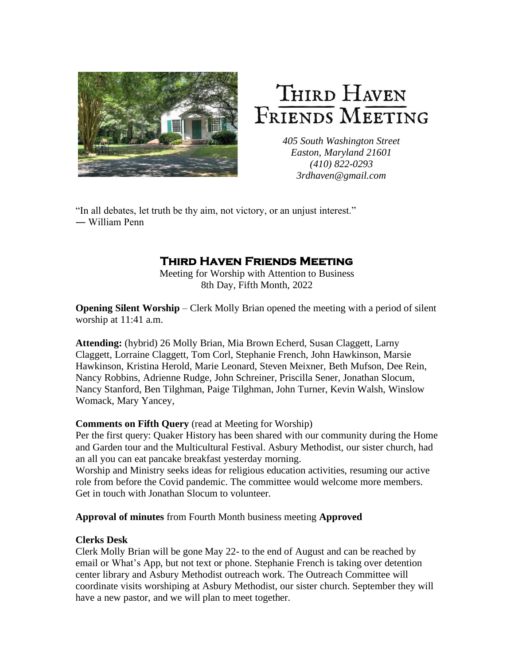

# THIRD HAVEN FRIENDS MEETING

*405 South Washington Street Easton, Maryland 21601 (410) 822-0293 3rdhaven@gmail.com*

"In all debates, let truth be thy aim, not victory, or an unjust interest." ― William Penn

## **Third Haven Friends Meeting**

Meeting for Worship with Attention to Business 8th Day, Fifth Month, 2022

**Opening Silent Worship** – Clerk Molly Brian opened the meeting with a period of silent worship at 11:41 a.m.

**Attending:** (hybrid) 26 Molly Brian, Mia Brown Echerd, Susan Claggett, Larny Claggett, Lorraine Claggett, Tom Corl, Stephanie French, John Hawkinson, Marsie Hawkinson, Kristina Herold, Marie Leonard, Steven Meixner, Beth Mufson, Dee Rein, Nancy Robbins, Adrienne Rudge, John Schreiner, Priscilla Sener, Jonathan Slocum, Nancy Stanford, Ben Tilghman, Paige Tilghman, John Turner, Kevin Walsh, Winslow Womack, Mary Yancey,

## **Comments on Fifth Query** (read at Meeting for Worship)

Per the first query: Quaker History has been shared with our community during the Home and Garden tour and the Multicultural Festival. Asbury Methodist, our sister church, had an all you can eat pancake breakfast yesterday morning.

Worship and Ministry seeks ideas for religious education activities, resuming our active role from before the Covid pandemic. The committee would welcome more members. Get in touch with Jonathan Slocum to volunteer.

## **Approval of minutes** from Fourth Month business meeting **Approved**

## **Clerks Desk**

Clerk Molly Brian will be gone May 22- to the end of August and can be reached by email or What's App, but not text or phone. Stephanie French is taking over detention center library and Asbury Methodist outreach work. The Outreach Committee will coordinate visits worshiping at Asbury Methodist, our sister church. September they will have a new pastor, and we will plan to meet together.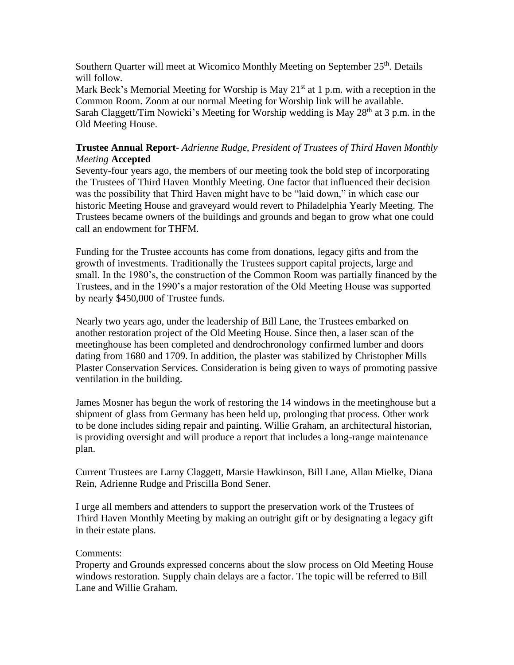Southern Quarter will meet at Wicomico Monthly Meeting on September 25<sup>th</sup>. Details will follow.

Mark Beck's Memorial Meeting for Worship is May  $21<sup>st</sup>$  at 1 p.m. with a reception in the Common Room. Zoom at our normal Meeting for Worship link will be available.

Sarah Claggett/Tim Nowicki's Meeting for Worship wedding is May  $28<sup>th</sup>$  at 3 p.m. in the Old Meeting House.

## **Trustee Annual Report**- *Adrienne Rudge, President of Trustees of Third Haven Monthly Meeting* **Accepted**

Seventy-four years ago, the members of our meeting took the bold step of incorporating the Trustees of Third Haven Monthly Meeting. One factor that influenced their decision was the possibility that Third Haven might have to be "laid down," in which case our historic Meeting House and graveyard would revert to Philadelphia Yearly Meeting. The Trustees became owners of the buildings and grounds and began to grow what one could call an endowment for THFM.

Funding for the Trustee accounts has come from donations, legacy gifts and from the growth of investments. Traditionally the Trustees support capital projects, large and small. In the 1980's, the construction of the Common Room was partially financed by the Trustees, and in the 1990's a major restoration of the Old Meeting House was supported by nearly \$450,000 of Trustee funds.

Nearly two years ago, under the leadership of Bill Lane, the Trustees embarked on another restoration project of the Old Meeting House. Since then, a laser scan of the meetinghouse has been completed and dendrochronology confirmed lumber and doors dating from 1680 and 1709. In addition, the plaster was stabilized by Christopher Mills Plaster Conservation Services. Consideration is being given to ways of promoting passive ventilation in the building.

James Mosner has begun the work of restoring the 14 windows in the meetinghouse but a shipment of glass from Germany has been held up, prolonging that process. Other work to be done includes siding repair and painting. Willie Graham, an architectural historian, is providing oversight and will produce a report that includes a long-range maintenance plan.

Current Trustees are Larny Claggett, Marsie Hawkinson, Bill Lane, Allan Mielke, Diana Rein, Adrienne Rudge and Priscilla Bond Sener.

I urge all members and attenders to support the preservation work of the Trustees of Third Haven Monthly Meeting by making an outright gift or by designating a legacy gift in their estate plans.

## Comments:

Property and Grounds expressed concerns about the slow process on Old Meeting House windows restoration. Supply chain delays are a factor. The topic will be referred to Bill Lane and Willie Graham.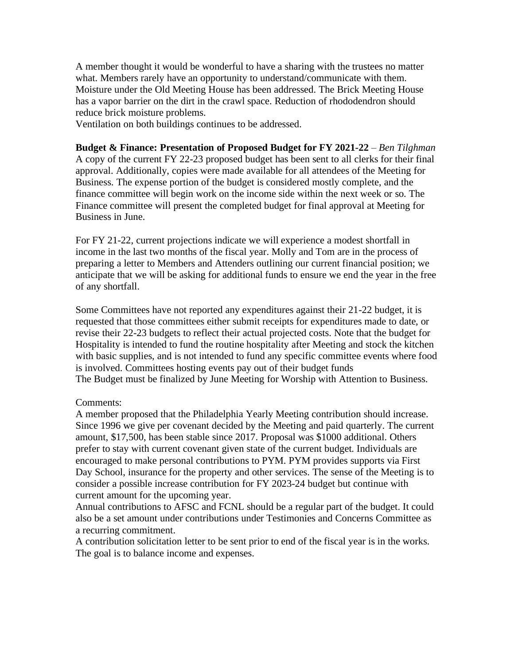A member thought it would be wonderful to have a sharing with the trustees no matter what. Members rarely have an opportunity to understand/communicate with them. Moisture under the Old Meeting House has been addressed. The Brick Meeting House has a vapor barrier on the dirt in the crawl space. Reduction of rhododendron should reduce brick moisture problems.

Ventilation on both buildings continues to be addressed.

**Budget & Finance: Presentation of Proposed Budget for FY 2021-22** – *Ben Tilghman* A copy of the current FY 22-23 proposed budget has been sent to all clerks for their final approval. Additionally, copies were made available for all attendees of the Meeting for Business. The expense portion of the budget is considered mostly complete, and the finance committee will begin work on the income side within the next week or so. The Finance committee will present the completed budget for final approval at Meeting for Business in June.

For FY 21-22, current projections indicate we will experience a modest shortfall in income in the last two months of the fiscal year. Molly and Tom are in the process of preparing a letter to Members and Attenders outlining our current financial position; we anticipate that we will be asking for additional funds to ensure we end the year in the free of any shortfall.

Some Committees have not reported any expenditures against their 21-22 budget, it is requested that those committees either submit receipts for expenditures made to date, or revise their 22-23 budgets to reflect their actual projected costs. Note that the budget for Hospitality is intended to fund the routine hospitality after Meeting and stock the kitchen with basic supplies, and is not intended to fund any specific committee events where food is involved. Committees hosting events pay out of their budget funds The Budget must be finalized by June Meeting for Worship with Attention to Business.

#### Comments:

A member proposed that the Philadelphia Yearly Meeting contribution should increase. Since 1996 we give per covenant decided by the Meeting and paid quarterly. The current amount, \$17,500, has been stable since 2017. Proposal was \$1000 additional. Others prefer to stay with current covenant given state of the current budget. Individuals are encouraged to make personal contributions to PYM. PYM provides supports via First Day School, insurance for the property and other services. The sense of the Meeting is to consider a possible increase contribution for FY 2023-24 budget but continue with current amount for the upcoming year.

Annual contributions to AFSC and FCNL should be a regular part of the budget. It could also be a set amount under contributions under Testimonies and Concerns Committee as a recurring commitment.

A contribution solicitation letter to be sent prior to end of the fiscal year is in the works. The goal is to balance income and expenses.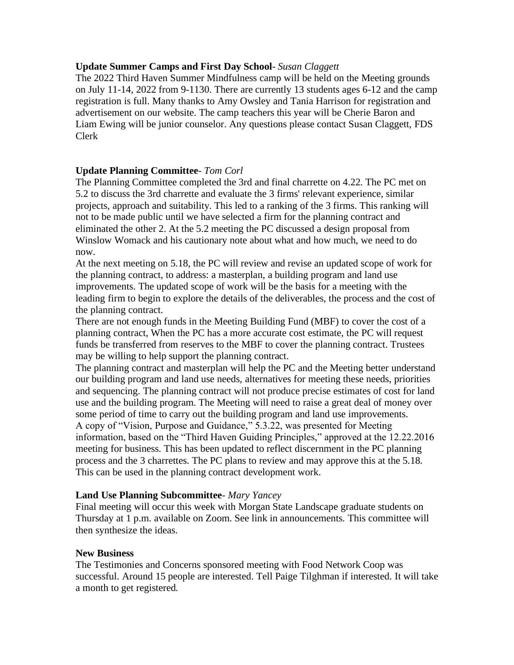## **Update Summer Camps and First Day School***- Susan Claggett*

The 2022 Third Haven Summer Mindfulness camp will be held on the Meeting grounds on July 11-14, 2022 from 9-1130. There are currently 13 students ages 6-12 and the camp registration is full. Many thanks to Amy Owsley and Tania Harrison for registration and advertisement on our website. The camp teachers this year will be Cherie Baron and Liam Ewing will be junior counselor. Any questions please contact Susan Claggett, FDS Clerk

## **Update Planning Committee**- *Tom Corl*

The Planning Committee completed the 3rd and final charrette on 4.22. The PC met on 5.2 to discuss the 3rd charrette and evaluate the 3 firms' relevant experience, similar projects, approach and suitability. This led to a ranking of the 3 firms. This ranking will not to be made public until we have selected a firm for the planning contract and eliminated the other 2. At the 5.2 meeting the PC discussed a design proposal from Winslow Womack and his cautionary note about what and how much, we need to do now.

At the next meeting on 5.18, the PC will review and revise an updated scope of work for the planning contract, to address: a masterplan, a building program and land use improvements. The updated scope of work will be the basis for a meeting with the leading firm to begin to explore the details of the deliverables, the process and the cost of the planning contract.

There are not enough funds in the Meeting Building Fund (MBF) to cover the cost of a planning contract, When the PC has a more accurate cost estimate, the PC will request funds be transferred from reserves to the MBF to cover the planning contract. Trustees may be willing to help support the planning contract.

The planning contract and masterplan will help the PC and the Meeting better understand our building program and land use needs, alternatives for meeting these needs, priorities and sequencing. The planning contract will not produce precise estimates of cost for land use and the building program. The Meeting will need to raise a great deal of money over some period of time to carry out the building program and land use improvements. A copy of "Vision, Purpose and Guidance," 5.3.22, was presented for Meeting information, based on the "Third Haven Guiding Principles," approved at the 12.22.2016 meeting for business. This has been updated to reflect discernment in the PC planning process and the 3 charrettes. The PC plans to review and may approve this at the 5.18. This can be used in the planning contract development work.

## **Land Use Planning Subcommittee**- *Mary Yancey*

Final meeting will occur this week with Morgan State Landscape graduate students on Thursday at 1 p.m. available on Zoom. See link in announcements. This committee will then synthesize the ideas.

## **New Business**

The Testimonies and Concerns sponsored meeting with Food Network Coop was successful. Around 15 people are interested. Tell Paige Tilghman if interested. It will take a month to get registered.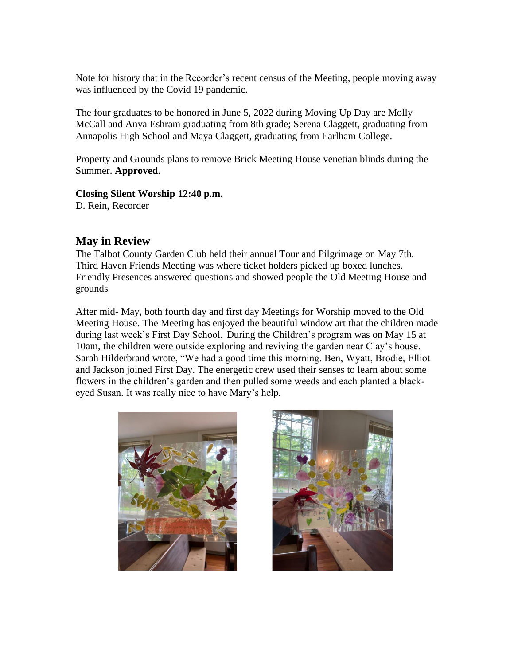Note for history that in the Recorder's recent census of the Meeting, people moving away was influenced by the Covid 19 pandemic.

The four graduates to be honored in June 5, 2022 during Moving Up Day are Molly McCall and Anya Eshram graduating from 8th grade; Serena Claggett, graduating from Annapolis High School and Maya Claggett, graduating from Earlham College.

Property and Grounds plans to remove Brick Meeting House venetian blinds during the Summer. **Approved**.

## **Closing Silent Worship 12:40 p.m.**

D. Rein, Recorder

## **May in Review**

The Talbot County Garden Club held their annual Tour and Pilgrimage on May 7th. Third Haven Friends Meeting was where ticket holders picked up boxed lunches. Friendly Presences answered questions and showed people the Old Meeting House and grounds

After mid- May, both fourth day and first day Meetings for Worship moved to the Old Meeting House. The Meeting has enjoyed the beautiful window art that the children made during last week's First Day School. During the Children's program was on May 15 at 10am, the children were outside exploring and reviving the garden near Clay's house. Sarah Hilderbrand wrote, "We had a good time this morning. Ben, Wyatt, Brodie, Elliot and Jackson joined First Day. The energetic crew used their senses to learn about some flowers in the children's garden and then pulled some weeds and each planted a blackeyed Susan. It was really nice to have Mary's help.



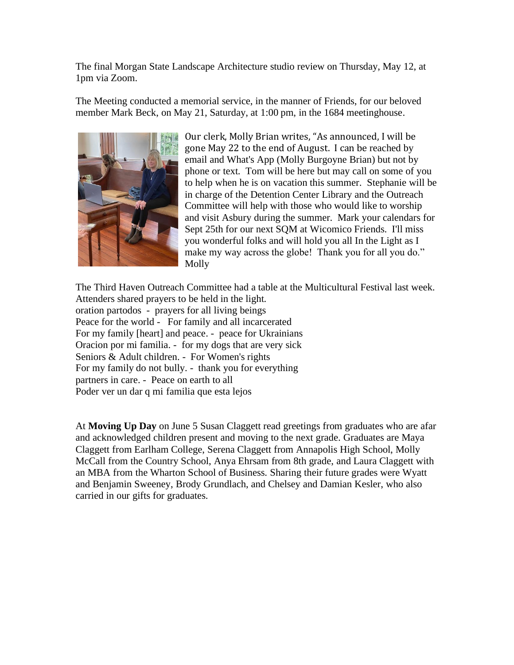The final Morgan State Landscape Architecture studio review on Thursday, May 12, at 1pm via Zoom.

The Meeting conducted a memorial service, in the manner of Friends, for our beloved member Mark Beck, on May 21, Saturday, at 1:00 pm, in the 1684 meetinghouse.



Our clerk, Molly Brian writes, "As announced, I will be gone May 22 to the end of August. I can be reached by email and What's App (Molly Burgoyne Brian) but not by phone or text. Tom will be here but may call on some of you to help when he is on vacation this summer. Stephanie will be in charge of the Detention Center Library and the Outreach Committee will help with those who would like to worship and visit Asbury during the summer. Mark your calendars for Sept 25th for our next SQM at Wicomico Friends. I'll miss you wonderful folks and will hold you all In the Light as I make my way across the globe! Thank you for all you do." Molly

The Third Haven Outreach Committee had a table at the Multicultural Festival last week. Attenders shared prayers to be held in the light. oration partodos - prayers for all living beings Peace for the world - For family and all incarcerated For my family [heart] and peace. - peace for Ukrainians Oracion por mi familia. - for my dogs that are very sick Seniors & Adult children. - For Women's rights For my family do not bully. - thank you for everything partners in care. - Peace on earth to all Poder ver un dar q mi familia que esta lejos

At **Moving Up Day** on June 5 Susan Claggett read greetings from graduates who are afar and acknowledged children present and moving to the next grade. Graduates are Maya Claggett from Earlham College, Serena Claggett from Annapolis High School, Molly McCall from the Country School, Anya Ehrsam from 8th grade, and Laura Claggett with an MBA from the Wharton School of Business. Sharing their future grades were Wyatt and Benjamin Sweeney, Brody Grundlach, and Chelsey and Damian Kesler, who also carried in our gifts for graduates.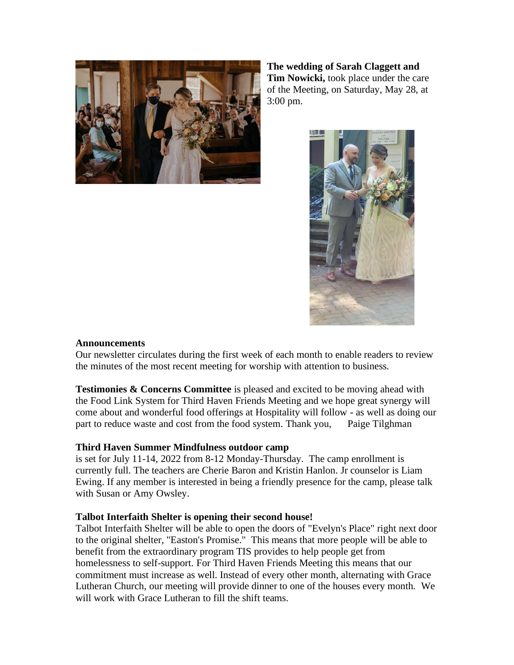

**The wedding of Sarah Claggett and Tim Nowicki,** took place under the care of the Meeting, on Saturday, May 28, at 3:00 pm.



## **Announcements**

Our newsletter circulates during the first week of each month to enable readers to review the minutes of the most recent meeting for worship with attention to business.

**Testimonies & Concerns Committee** is pleased and excited to be moving ahead with the Food Link System for Third Haven Friends Meeting and we hope great synergy will come about and wonderful food offerings at Hospitality will follow - as well as doing our part to reduce waste and cost from the food system. Thank you, Paige Tilghman

## **Third Haven Summer Mindfulness outdoor camp**

is set for July 11-14, 2022 from 8-12 Monday-Thursday. The camp enrollment is currently full. The teachers are Cherie Baron and Kristin Hanlon. Jr counselor is Liam Ewing. If any member is interested in being a friendly presence for the camp, please talk with Susan or Amy Owsley.

## **Talbot Interfaith Shelter is opening their second house!**

Talbot Interfaith Shelter will be able to open the doors of "Evelyn's Place" right next door to the original shelter, "Easton's Promise." This means that more people will be able to benefit from the extraordinary program TIS provides to help people get from homelessness to self-support. For Third Haven Friends Meeting this means that our commitment must increase as well. Instead of every other month, alternating with Grace Lutheran Church, our meeting will provide dinner to one of the houses every month. We will work with Grace Lutheran to fill the shift teams.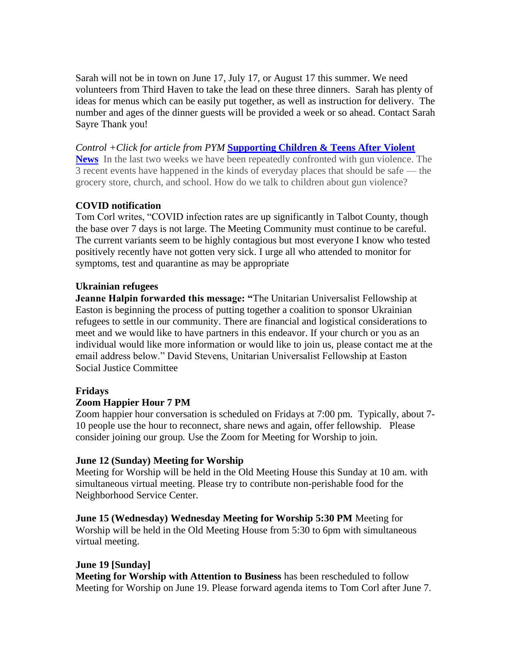Sarah will not be in town on June 17, July 17, or August 17 this summer. We need volunteers from Third Haven to take the lead on these three dinners. Sarah has plenty of ideas for menus which can be easily put together, as well as instruction for delivery. The number and ages of the dinner guests will be provided a week or so ahead. Contact Sarah Sayre Thank you!

*Control +Click for article from PYM* **[Supporting Children & Teens After Violent](https://go.pym.org/e/791983/-and-teens-after-violent-news-/5dlgk/448839388?h=H4g6Xpvxg3Ll9cvnB7GWcsENFVJz-mTiJ_yLj6PGxow)  [News](https://go.pym.org/e/791983/-and-teens-after-violent-news-/5dlgk/448839388?h=H4g6Xpvxg3Ll9cvnB7GWcsENFVJz-mTiJ_yLj6PGxow)** In the last two weeks we have been repeatedly confronted with gun violence. The 3 recent events have happened in the kinds of everyday places that should be safe — the grocery store, church, and school. How do we talk to children about gun violence?

## **COVID notification**

Tom Corl writes, "COVID infection rates are up significantly in Talbot County, though the base over 7 days is not large. The Meeting Community must continue to be careful. The current variants seem to be highly contagious but most everyone I know who tested positively recently have not gotten very sick. I urge all who attended to monitor for symptoms, test and quarantine as may be appropriate

## **Ukrainian refugees**

**Jeanne Halpin forwarded this message: "**The Unitarian Universalist Fellowship at Easton is beginning the process of putting together a coalition to sponsor Ukrainian refugees to settle in our community. There are financial and logistical considerations to meet and we would like to have partners in this endeavor. If your church or you as an individual would like more information or would like to join us, please contact me at the email address below." David Stevens, Unitarian Universalist Fellowship at Easton Social Justice Committee

## **Fridays**

## **Zoom Happier Hour 7 PM**

Zoom happier hour conversation is scheduled on Fridays at 7:00 pm. Typically, about 7- 10 people use the hour to reconnect, share news and again, offer fellowship. Please consider joining our group. Use the Zoom for Meeting for Worship to join.

## **June 12 (Sunday) Meeting for Worship**

Meeting for Worship will be held in the Old Meeting House this Sunday at 10 am. with simultaneous virtual meeting. Please try to contribute non-perishable food for the Neighborhood Service Center.

**June 15 (Wednesday) Wednesday Meeting for Worship 5:30 PM** Meeting for Worship will be held in the Old Meeting House from 5:30 to 6pm with simultaneous virtual meeting.

## **June 19 [Sunday]**

**Meeting for Worship with Attention to Business** has been rescheduled to follow Meeting for Worship on June 19. Please forward agenda items to Tom Corl after June 7.